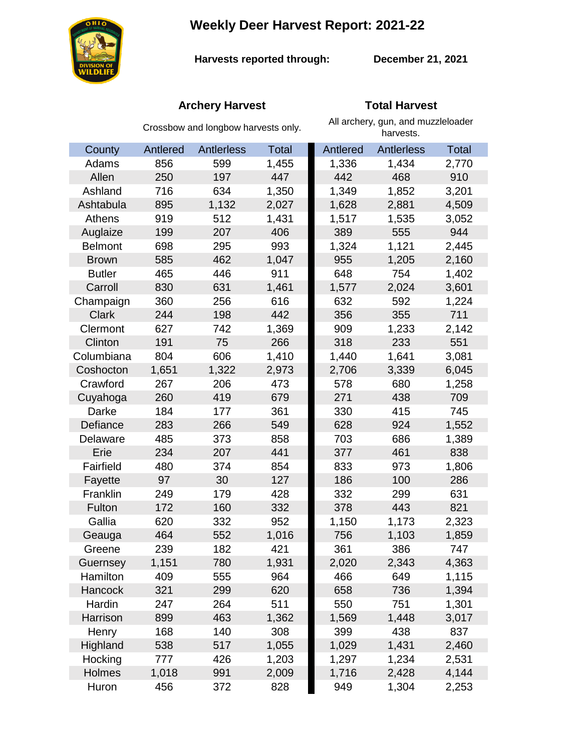**Weekly Deer Harvest Report: 2021-22**



**Harvests reported through: December 21, 2021**

# **Archery Harvest Total Harvest**

|                | Crossbow and longbow harvests only. |                   |              | All archery, gun, and muzzleloader<br>harvests. |                   |              |
|----------------|-------------------------------------|-------------------|--------------|-------------------------------------------------|-------------------|--------------|
| County         | Antlered                            | <b>Antlerless</b> | <b>Total</b> | Antlered                                        | <b>Antlerless</b> | <b>Total</b> |
| Adams          | 856                                 | 599               | 1,455        | 1,336                                           | 1,434             | 2,770        |
| Allen          | 250                                 | 197               | 447          | 442                                             | 468               | 910          |
| Ashland        | 716                                 | 634               | 1,350        | 1,349                                           | 1,852             | 3,201        |
| Ashtabula      | 895                                 | 1,132             | 2,027        | 1,628                                           | 2,881             | 4,509        |
| Athens         | 919                                 | 512               | 1,431        | 1,517                                           | 1,535             | 3,052        |
| Auglaize       | 199                                 | 207               | 406          | 389                                             | 555               | 944          |
| <b>Belmont</b> | 698                                 | 295               | 993          | 1,324                                           | 1,121             | 2,445        |
| <b>Brown</b>   | 585                                 | 462               | 1,047        | 955                                             | 1,205             | 2,160        |
| <b>Butler</b>  | 465                                 | 446               | 911          | 648                                             | 754               | 1,402        |
| Carroll        | 830                                 | 631               | 1,461        | 1,577                                           | 2,024             | 3,601        |
| Champaign      | 360                                 | 256               | 616          | 632                                             | 592               | 1,224        |
| <b>Clark</b>   | 244                                 | 198               | 442          | 356                                             | 355               | 711          |
| Clermont       | 627                                 | 742               | 1,369        | 909                                             | 1,233             | 2,142        |
| Clinton        | 191                                 | 75                | 266          | 318                                             | 233               | 551          |
| Columbiana     | 804                                 | 606               | 1,410        | 1,440                                           | 1,641             | 3,081        |
| Coshocton      | 1,651                               | 1,322             | 2,973        | 2,706                                           | 3,339             | 6,045        |
| Crawford       | 267                                 | 206               | 473          | 578                                             | 680               | 1,258        |
| Cuyahoga       | 260                                 | 419               | 679          | 271                                             | 438               | 709          |
| Darke          | 184                                 | 177               | 361          | 330                                             | 415               | 745          |
| Defiance       | 283                                 | 266               | 549          | 628                                             | 924               | 1,552        |
| Delaware       | 485                                 | 373               | 858          | 703                                             | 686               | 1,389        |
| Erie           | 234                                 | 207               | 441          | 377                                             | 461               | 838          |
| Fairfield      | 480                                 | 374               | 854          | 833                                             | 973               | 1,806        |
| Fayette        | 97                                  | 30                | 127          | 186                                             | 100               | 286          |
| Franklin       | 249                                 | 179               | 428          | 332                                             | 299               | 631          |
| Fulton         | 172                                 | 160               | 332          | 378                                             | 443               | 821          |
| Gallia         | 620                                 | 332               | 952          | 1,150                                           | 1,173             | 2,323        |
| Geauga         | 464                                 | 552               | 1,016        | 756                                             | 1,103             | 1,859        |
| Greene         | 239                                 | 182               | 421          | 361                                             | 386               | 747          |
| Guernsey       | 1,151                               | 780               | 1,931        | 2,020                                           | 2,343             | 4,363        |
| Hamilton       | 409                                 | 555               | 964          | 466                                             | 649               | 1,115        |
| Hancock        | 321                                 | 299               | 620          | 658                                             | 736               | 1,394        |
| Hardin         | 247                                 | 264               | 511          | 550                                             | 751               | 1,301        |
| Harrison       | 899                                 | 463               | 1,362        | 1,569                                           | 1,448             | 3,017        |
| Henry          | 168                                 | 140               | 308          | 399                                             | 438               | 837          |
| Highland       | 538                                 | 517               | 1,055        | 1,029                                           | 1,431             | 2,460        |
| Hocking        | 777                                 | 426               | 1,203        | 1,297                                           | 1,234             | 2,531        |
| Holmes         | 1,018                               | 991               | 2,009        | 1,716                                           | 2,428             | 4,144        |
| Huron          | 456                                 | 372               | 828          | 949                                             | 1,304             | 2,253        |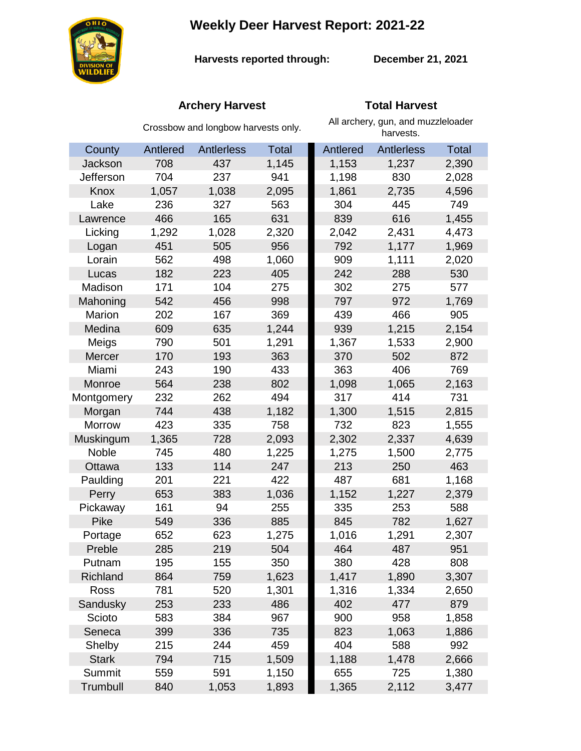**Weekly Deer Harvest Report: 2021-22**



**Harvests reported through:** 

**December 21, 2021**

# **Archery Harvest Total Harvest**

|               | Crossbow and longbow harvests only. |            |              | All archery, gun, and muzzleloader<br>harvests. |                   |              |
|---------------|-------------------------------------|------------|--------------|-------------------------------------------------|-------------------|--------------|
| County        | Antlered                            | Antlerless | <b>Total</b> | Antlered                                        | <b>Antlerless</b> | <b>Total</b> |
| Jackson       | 708                                 | 437        | 1,145        | 1,153                                           | 1,237             | 2,390        |
| Jefferson     | 704                                 | 237        | 941          | 1,198                                           | 830               | 2,028        |
| Knox          | 1,057                               | 1,038      | 2,095        | 1,861                                           | 2,735             | 4,596        |
| Lake          | 236                                 | 327        | 563          | 304                                             | 445               | 749          |
| Lawrence      | 466                                 | 165        | 631          | 839                                             | 616               | 1,455        |
| Licking       | 1,292                               | 1,028      | 2,320        | 2,042                                           | 2,431             | 4,473        |
| Logan         | 451                                 | 505        | 956          | 792                                             | 1,177             | 1,969        |
| Lorain        | 562                                 | 498        | 1,060        | 909                                             | 1,111             | 2,020        |
| Lucas         | 182                                 | 223        | 405          | 242                                             | 288               | 530          |
| Madison       | 171                                 | 104        | 275          | 302                                             | 275               | 577          |
| Mahoning      | 542                                 | 456        | 998          | 797                                             | 972               | 1,769        |
| Marion        | 202                                 | 167        | 369          | 439                                             | 466               | 905          |
| Medina        | 609                                 | 635        | 1,244        | 939                                             | 1,215             | 2,154        |
| Meigs         | 790                                 | 501        | 1,291        | 1,367                                           | 1,533             | 2,900        |
| Mercer        | 170                                 | 193        | 363          | 370                                             | 502               | 872          |
| Miami         | 243                                 | 190        | 433          | 363                                             | 406               | 769          |
| Monroe        | 564                                 | 238        | 802          | 1,098                                           | 1,065             | 2,163        |
| Montgomery    | 232                                 | 262        | 494          | 317                                             | 414               | 731          |
| Morgan        | 744                                 | 438        | 1,182        | 1,300                                           | 1,515             | 2,815        |
| <b>Morrow</b> | 423                                 | 335        | 758          | 732                                             | 823               | 1,555        |
| Muskingum     | 1,365                               | 728        | 2,093        | 2,302                                           | 2,337             | 4,639        |
| Noble         | 745                                 | 480        | 1,225        | 1,275                                           | 1,500             | 2,775        |
| Ottawa        | 133                                 | 114        | 247          | 213                                             | 250               | 463          |
| Paulding      | 201                                 | 221        | 422          | 487                                             | 681               | 1,168        |
| Perry         | 653                                 | 383        | 1,036        | 1,152                                           | 1,227             | 2,379        |
| Pickaway      | 161                                 | 94         | 255          | 335                                             | 253               | 588          |
| Pike          | 549                                 | 336        | 885          | 845                                             | 782               | 1,627        |
| Portage       | 652                                 | 623        | 1,275        | 1,016                                           | 1,291             | 2,307        |
| Preble        | 285                                 | 219        | 504          | 464                                             | 487               | 951          |
| Putnam        | 195                                 | 155        | 350          | 380                                             | 428               | 808          |
| Richland      | 864                                 | 759        | 1,623        | 1,417                                           | 1,890             | 3,307        |
| Ross          | 781                                 | 520        | 1,301        | 1,316                                           | 1,334             | 2,650        |
| Sandusky      | 253                                 | 233        | 486          | 402                                             | 477               | 879          |
| Scioto        | 583                                 | 384        | 967          | 900                                             | 958               | 1,858        |
| Seneca        | 399                                 | 336        | 735          | 823                                             | 1,063             | 1,886        |
| Shelby        | 215                                 | 244        | 459          | 404                                             | 588               | 992          |
| <b>Stark</b>  | 794                                 | 715        | 1,509        | 1,188                                           | 1,478             | 2,666        |
| Summit        | 559                                 | 591        | 1,150        | 655                                             | 725               | 1,380        |
| Trumbull      | 840                                 | 1,053      | 1,893        | 1,365                                           | 2,112             | 3,477        |